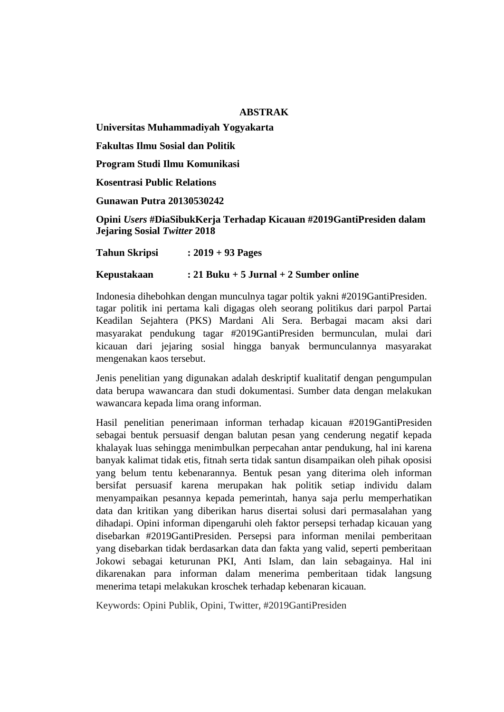## **ABSTRAK**

**Universitas Muhammadiyah Yogyakarta**

**Fakultas Ilmu Sosial dan Politik**

**Program Studi Ilmu Komunikasi**

**Kosentrasi Public Relations**

**Gunawan Putra 20130530242**

**Opini** *Users* **#DiaSibukKerja Terhadap Kicauan #2019GantiPresiden dalam Jejaring Sosial** *Twitter* **2018**

**Tahun Skripsi : 2019 + 93 Pages**

# **Kepustakaan : 21 Buku + 5 Jurnal + 2 Sumber online**

Indonesia dihebohkan dengan munculnya tagar poltik yakni #2019GantiPresiden. tagar politik ini pertama kali digagas oleh seorang politikus dari parpol Partai Keadilan Sejahtera (PKS) Mardani Ali Sera. Berbagai macam aksi dari masyarakat pendukung tagar #2019GantiPresiden bermunculan, mulai dari kicauan dari jejaring sosial hingga banyak bermunculannya masyarakat mengenakan kaos tersebut.

Jenis penelitian yang digunakan adalah deskriptif kualitatif dengan pengumpulan data berupa wawancara dan studi dokumentasi. Sumber data dengan melakukan wawancara kepada lima orang informan.

Hasil penelitian penerimaan informan terhadap kicauan #2019GantiPresiden sebagai bentuk persuasif dengan balutan pesan yang cenderung negatif kepada khalayak luas sehingga menimbulkan perpecahan antar pendukung, hal ini karena banyak kalimat tidak etis, fitnah serta tidak santun disampaikan oleh pihak oposisi yang belum tentu kebenarannya. Bentuk pesan yang diterima oleh informan bersifat persuasif karena merupakan hak politik setiap individu dalam menyampaikan pesannya kepada pemerintah, hanya saja perlu memperhatikan data dan kritikan yang diberikan harus disertai solusi dari permasalahan yang dihadapi. Opini informan dipengaruhi oleh faktor persepsi terhadap kicauan yang disebarkan #2019GantiPresiden. Persepsi para informan menilai pemberitaan yang disebarkan tidak berdasarkan data dan fakta yang valid, seperti pemberitaan Jokowi sebagai keturunan PKI, Anti Islam, dan lain sebagainya. Hal ini dikarenakan para informan dalam menerima pemberitaan tidak langsung menerima tetapi melakukan kroschek terhadap kebenaran kicauan.

Keywords: Opini Publik, Opini, Twitter, #2019GantiPresiden